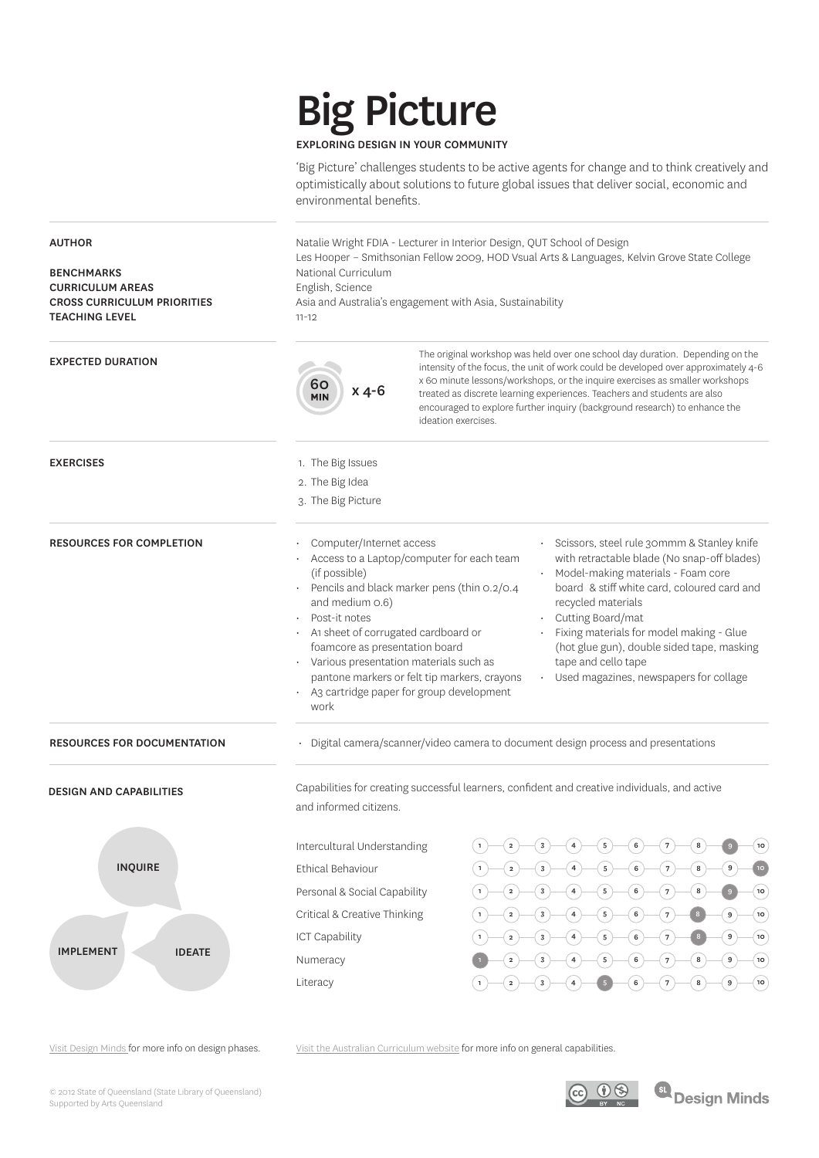# Big Picture

#### EXPLORING DESIGN IN YOUR COMMUNITY

'Big Picture' challenges students to be active agents for change and to think creatively and optimistically about solutions to future global issues that deliver social, economic and environmental benefits.

AUTHOR BENCHMARKS CURRICULUM AREAS CROSS CURRICULUM PRIORITIES TEACHING LEVEL Natalie Wright FDIA - Lecturer in Interior Design, QUT School of Design Les Hooper – Smithsonian Fellow 2009, HOD Vsual Arts & Languages, Kelvin Grove State College National Curriculum English, Science Asia and Australia's engagement with Asia, Sustainability 11-12 EXPECTED DURATION EXERCISES RESOURCES FOR DOCUMENTATION • Digital camera/scanner/video camera to document design process and presentations RESOURCES FOR COMPLETION • Computer/Internet access • Access to a Laptop/computer for each team (if possible) • Pencils and black marker pens (thin 0.2/0.4 and medium 0.6) Post-it notes • A1 sheet of corrugated cardboard or foamcore as presentation board • Various presentation materials such as pantone markers or felt tip markers, crayons A3 cartridge paper for group development work • Scissors, steel rule 30mmm & Stanley knife with retractable blade (No snap-off blades) • Model-making materials - Foam core board & stiff white card, coloured card and recycled materials • Cutting Board/mat • Fixing materials for model making - Glue (hot glue gun), double sided tape, masking tape and cello tape • Used magazines, newspapers for collage 1. The Big Issues 2. The Big Idea 3. The Big Picture DESIGN AND CAPABILITIES INQUIRE IMPLEMENT | IDEATE Intercultural Understanding Ethical Behaviour Personal & Social Capability Critical & Creative Thinking ICT Capability Numeracy Literacy Capabilities for creating successful learners, confident and creative individuals, and active and informed citizens. The original workshop was held over one school day duration. Depending on the intensity of the focus, the unit of work could be developed over approximately 4-6 x 60 minute lessons/workshops, or the inquire exercises as smaller workshops treated as discrete learning experiences. Teachers and students are also encouraged to explore further inquiry (background research) to enhance the ideation exercises.  $\begin{array}{c} 60 \\ N1 \end{array}$  x 4-6  $-2$  3 4 5 6 7  $\begin{smallmatrix}1 & -2 & -3 & -4 & -5 & 6 & -7 & 8 & -9\end{smallmatrix}$  $(1)$   $(2)$   $(3)$   $(4)$   $(5)$   $(6)$   $(7)$   $(8)$  $-2$  3 4 5 6 7  $-2$  3 4 5 6 7  $-2$  3 4 5 6 7 8  $-3$   $-4$   $-5$   $-6$   $7$   $-8$ 10  $(8)$  $\bullet$  8

Visit Design Minds for more info on design phases.

Visit the Australian Curriculum website for more info on general capabilities.

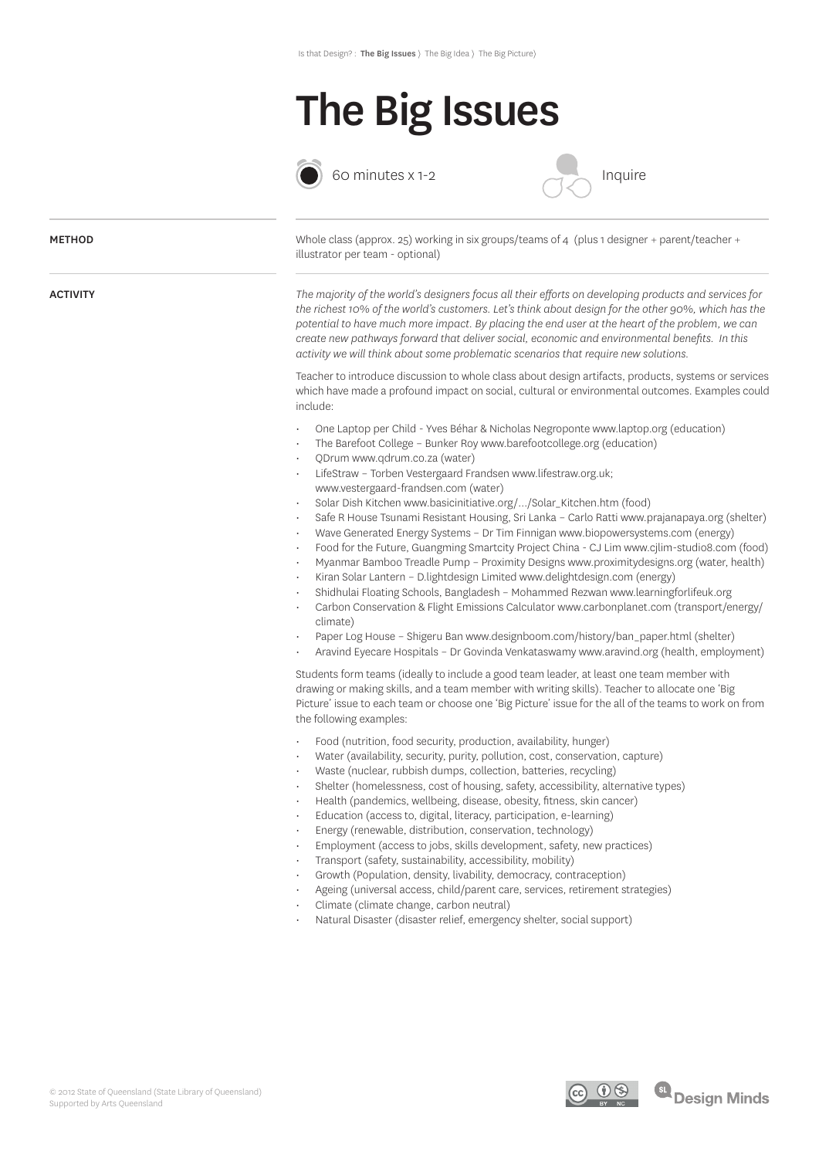### The Big Issues



60 minutes x 1-2



### *The majority of the world's designers focus all their efforts on developing products and services for the richest 10% of the world's customers. Let's think about design for the other 90%, which has the potential to have much more impact. By placing the end user at the heart of the problem, we can create new pathways forward that deliver social, economic and environmental benefits. In this activity we will think about some problematic scenarios that require new solutions.* Teacher to introduce discussion to whole class about design artifacts, products, systems or services which have made a profound impact on social, cultural or environmental outcomes. Examples could include: • One Laptop per Child - Yves Béhar & Nicholas Negroponte www.laptop.org (education) • The Barefoot College – Bunker Roy www.barefootcollege.org (education) • QDrum www.qdrum.co.za (water) • LifeStraw – Torben Vestergaard Frandsen www.lifestraw.org.uk; www.vestergaard-frandsen.com (water) • Solar Dish Kitchen www.basicinitiative.org/.../Solar\_Kitchen.htm (food) • Safe R House Tsunami Resistant Housing, Sri Lanka – Carlo Ratti www.prajanapaya.org (shelter) • Wave Generated Energy Systems – Dr Tim Finnigan www.biopowersystems.com (energy) • Food for the Future, Guangming Smartcity Project China - CJ Lim www.cjlim-studio8.com (food) • Myanmar Bamboo Treadle Pump – Proximity Designs www.proximitydesigns.org (water, health) • Kiran Solar Lantern – D.lightdesign Limited www.delightdesign.com (energy) • Shidhulai Floating Schools, Bangladesh – Mohammed Rezwan www.learningforlifeuk.org • Carbon Conservation & Flight Emissions Calculator www.carbonplanet.com (transport/energy/ climate) • Paper Log House – Shigeru Ban www.designboom.com/history/ban\_paper.html (shelter) • Aravind Eyecare Hospitals – Dr Govinda Venkataswamy www.aravind.org (health, employment) Students form teams (ideally to include a good team leader, at least one team member with drawing or making skills, and a team member with writing skills). Teacher to allocate one 'Big Picture' issue to each team or choose one 'Big Picture' issue for the all of the teams to work on from the following examples: • Food (nutrition, food security, production, availability, hunger) • Water (availability, security, purity, pollution, cost, conservation, capture) • Waste (nuclear, rubbish dumps, collection, batteries, recycling) • Shelter (homelessness, cost of housing, safety, accessibility, alternative types) • Health (pandemics, wellbeing, disease, obesity, fitness, skin cancer) • Education (access to, digital, literacy, participation, e-learning) • Energy (renewable, distribution, conservation, technology) • Employment (access to jobs, skills development, safety, new practices) • Transport (safety, sustainability, accessibility, mobility) • Growth (Population, density, livability, democracy, contraception) • Ageing (universal access, child/parent care, services, retirement strategies) • Climate (climate change, carbon neutral) • Natural Disaster (disaster relief, emergency shelter, social support) Whole class (approx. 25) working in six groups/teams of 4 (plus 1 designer + parent/teacher + illustrator per team - optional) ACTIVITY **METHOD**

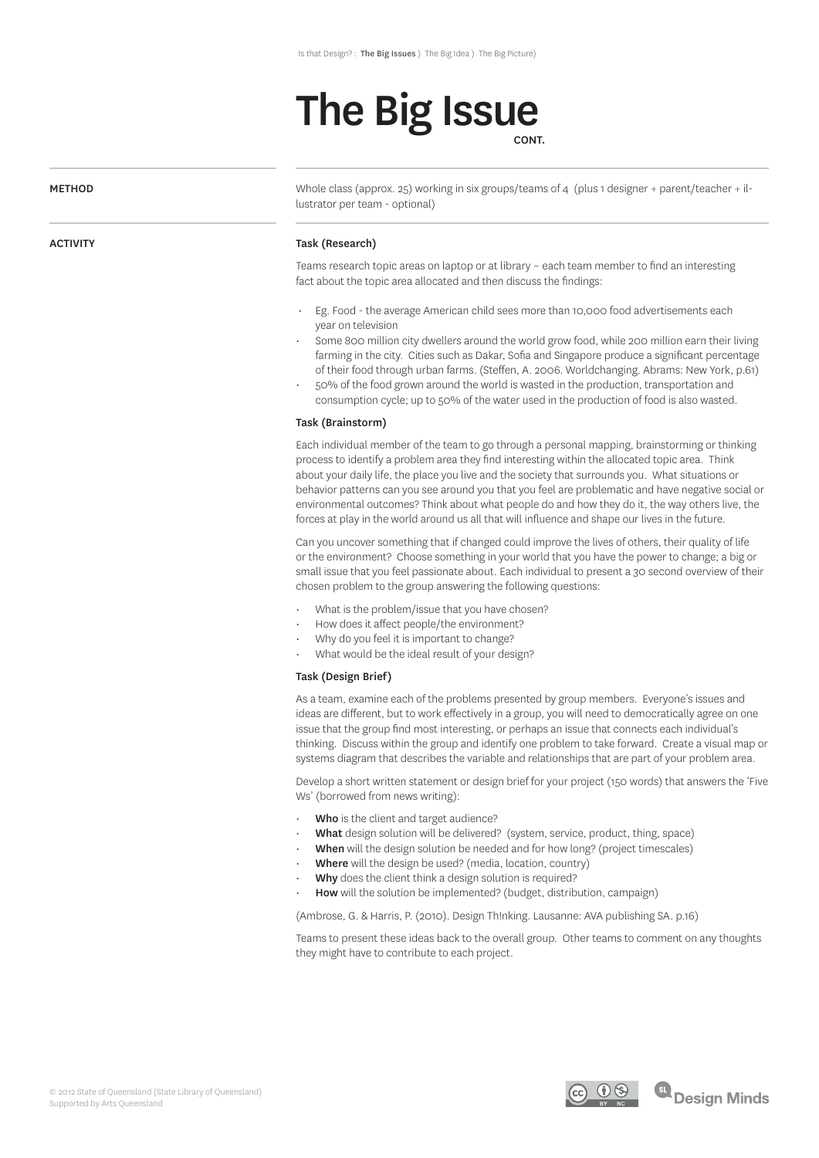### The Big Issue

CONT.

#### METHOD

ACTIVITY

Whole class (approx. 25) working in six groups/teams of 4 (plus 1 designer + parent/teacher + illustrator per team - optional)

#### Task (Research)

Teams research topic areas on laptop or at library – each team member to find an interesting fact about the topic area allocated and then discuss the findings:

- Eg. Food the average American child sees more than 10,000 food advertisements each year on television
- Some 800 million city dwellers around the world grow food, while 200 million earn their living farming in the city. Cities such as Dakar, Sofia and Singapore produce a significant percentage of their food through urban farms. (Steffen, A. 2006. Worldchanging. Abrams: New York, p.61)
- 50% of the food grown around the world is wasted in the production, transportation and consumption cycle; up to 50% of the water used in the production of food is also wasted.

#### Task (Brainstorm)

Each individual member of the team to go through a personal mapping, brainstorming or thinking process to identify a problem area they find interesting within the allocated topic area. Think about your daily life, the place you live and the society that surrounds you. What situations or behavior patterns can you see around you that you feel are problematic and have negative social or environmental outcomes? Think about what people do and how they do it, the way others live, the forces at play in the world around us all that will influence and shape our lives in the future.

Can you uncover something that if changed could improve the lives of others, their quality of life or the environment? Choose something in your world that you have the power to change; a big or small issue that you feel passionate about. Each individual to present a 30 second overview of their chosen problem to the group answering the following questions:

- What is the problem/issue that you have chosen?
- How does it affect people/the environment?
- Why do you feel it is important to change?
- What would be the ideal result of your design?

#### Task (Design Brief)

As a team, examine each of the problems presented by group members. Everyone's issues and ideas are different, but to work effectively in a group, you will need to democratically agree on one issue that the group find most interesting, or perhaps an issue that connects each individual's thinking. Discuss within the group and identify one problem to take forward. Create a visual map or systems diagram that describes the variable and relationships that are part of your problem area.

Develop a short written statement or design brief for your project (150 words) that answers the 'Five Ws' (borrowed from news writing):

- Who is the client and target audience?
- What design solution will be delivered? (system, service, product, thing, space)
- When will the design solution be needed and for how long? (project timescales)
- Where will the design be used? (media, location, country)
- Why does the client think a design solution is required?
- How will the solution be implemented? (budget, distribution, campaign)

(Ambrose, G. & Harris, P. (2010). Design Th!nking. Lausanne: AVA publishing SA. p.16)

Teams to present these ideas back to the overall group. Other teams to comment on any thoughts they might have to contribute to each project.



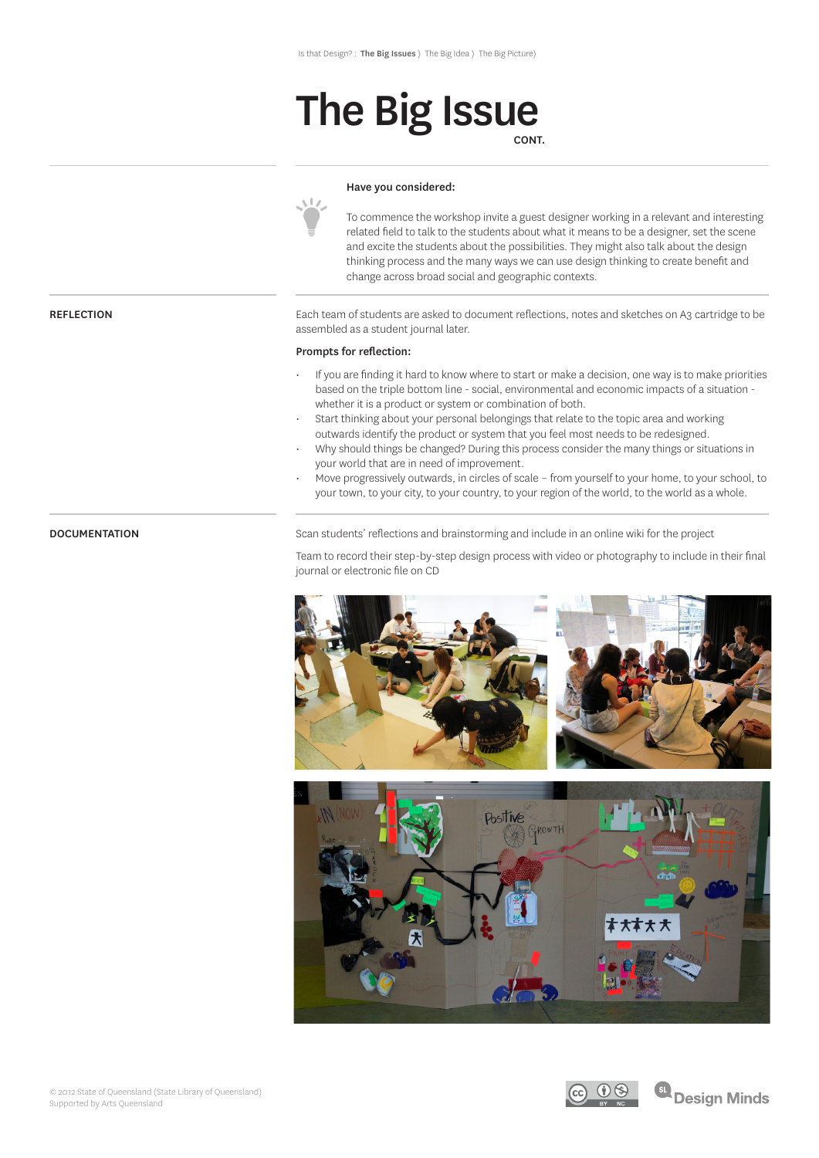### The Big Issue CONT.

#### Have you considered:

To commence the workshop invite a guest designer working in a relevant and interesting related field to talk to the students about what it means to be a designer, set the scene and excite the students about the possibilities. They might also talk about the design thinking process and the many ways we can use design thinking to create benefit and change across broad social and geographic contexts.

Each team of students are asked to document reflections, notes and sketches on A3 cartridge to be assembled as a student journal later.

#### Prompts for reflection:

 $\sqrt{1}$ 

- If you are finding it hard to know where to start or make a decision, one way is to make priorities based on the triple bottom line - social, environmental and economic impacts of a situation whether it is a product or system or combination of both.
- Start thinking about your personal belongings that relate to the topic area and working outwards identify the product or system that you feel most needs to be redesigned.
- Why should things be changed? During this process consider the many things or situations in your world that are in need of improvement.
- Move progressively outwards, in circles of scale from yourself to your home, to your school, to your town, to your city, to your country, to your region of the world, to the world as a whole.

DOCUMENTATION Scan students' reflections and brainstorming and include in an online wiki for the project

Team to record their step-by-step design process with video or photography to include in their final journal or electronic file on CD





#### REFLECTION

© 2012 State of Queensland (State Library of Queensland) Supported by Arts Queensland

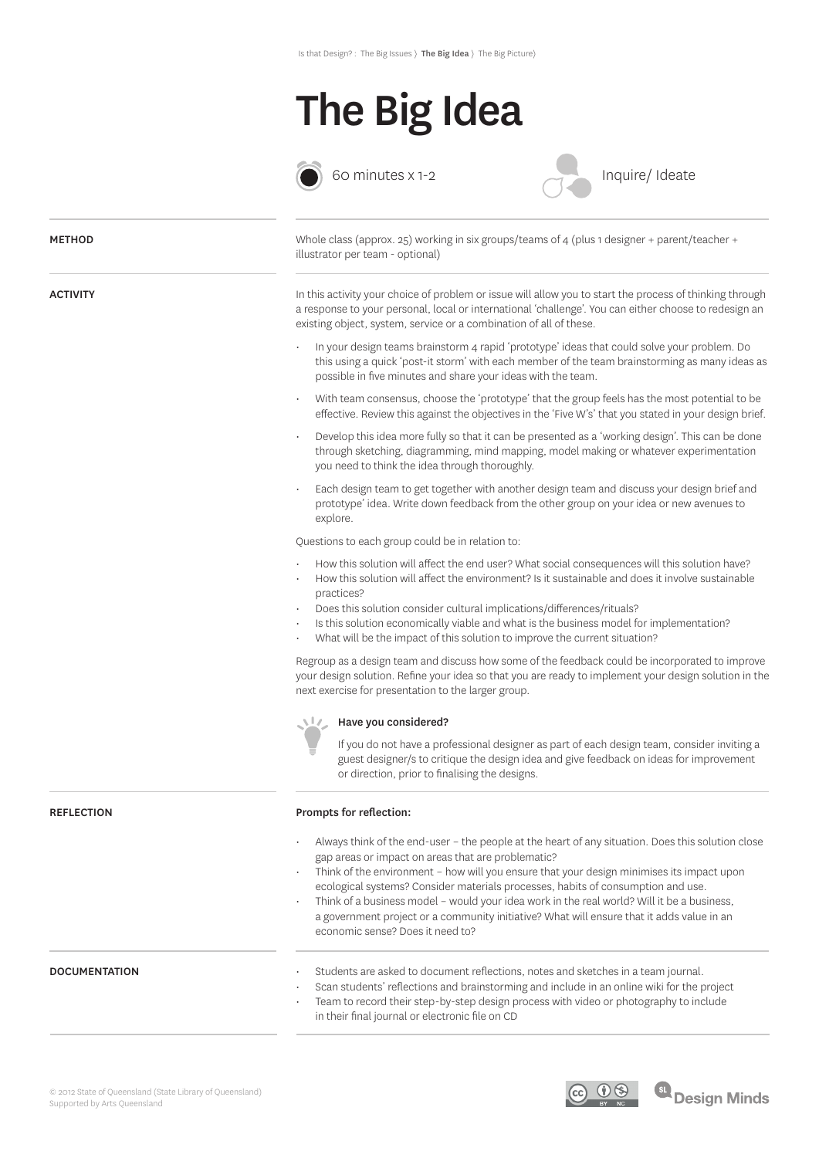



 $\bigcirc$  60 minutes x 1-2

Inquire/ Ideate

| <b>METHOD</b>        | Whole class (approx. 25) working in six groups/teams of 4 (plus 1 designer + parent/teacher +<br>illustrator per team - optional)                                                                                                                                                                                                                                                                                                                                                                                                                                       |
|----------------------|-------------------------------------------------------------------------------------------------------------------------------------------------------------------------------------------------------------------------------------------------------------------------------------------------------------------------------------------------------------------------------------------------------------------------------------------------------------------------------------------------------------------------------------------------------------------------|
| <b>ACTIVITY</b>      | In this activity your choice of problem or issue will allow you to start the process of thinking through<br>a response to your personal, local or international 'challenge'. You can either choose to redesign an<br>existing object, system, service or a combination of all of these.                                                                                                                                                                                                                                                                                 |
|                      | In your design teams brainstorm 4 rapid 'prototype' ideas that could solve your problem. Do<br>this using a quick 'post-it storm' with each member of the team brainstorming as many ideas as<br>possible in five minutes and share your ideas with the team.                                                                                                                                                                                                                                                                                                           |
|                      | With team consensus, choose the 'prototype' that the group feels has the most potential to be<br>effective. Review this against the objectives in the 'Five W's' that you stated in your design brief.                                                                                                                                                                                                                                                                                                                                                                  |
|                      | Develop this idea more fully so that it can be presented as a 'working design'. This can be done<br>through sketching, diagramming, mind mapping, model making or whatever experimentation<br>you need to think the idea through thoroughly.                                                                                                                                                                                                                                                                                                                            |
|                      | Each design team to get together with another design team and discuss your design brief and<br>prototype' idea. Write down feedback from the other group on your idea or new avenues to<br>explore.                                                                                                                                                                                                                                                                                                                                                                     |
|                      | Questions to each group could be in relation to:                                                                                                                                                                                                                                                                                                                                                                                                                                                                                                                        |
|                      | How this solution will affect the end user? What social consequences will this solution have?<br>How this solution will affect the environment? Is it sustainable and does it involve sustainable<br>practices?<br>Does this solution consider cultural implications/differences/rituals?<br>Is this solution economically viable and what is the business model for implementation?<br>What will be the impact of this solution to improve the current situation?                                                                                                      |
|                      | Regroup as a design team and discuss how some of the feedback could be incorporated to improve<br>your design solution. Refine your idea so that you are ready to implement your design solution in the<br>next exercise for presentation to the larger group.                                                                                                                                                                                                                                                                                                          |
|                      | Have you considered?<br>NW.                                                                                                                                                                                                                                                                                                                                                                                                                                                                                                                                             |
|                      | If you do not have a professional designer as part of each design team, consider inviting a<br>guest designer/s to critique the design idea and give feedback on ideas for improvement<br>or direction, prior to finalising the designs.                                                                                                                                                                                                                                                                                                                                |
| <b>REFLECTION</b>    | Prompts for reflection:                                                                                                                                                                                                                                                                                                                                                                                                                                                                                                                                                 |
|                      | Always think of the end-user - the people at the heart of any situation. Does this solution close<br>gap areas or impact on areas that are problematic?<br>Think of the environment - how will you ensure that your design minimises its impact upon<br>ecological systems? Consider materials processes, habits of consumption and use.<br>Think of a business model - would your idea work in the real world? Will it be a business,<br>a government project or a community initiative? What will ensure that it adds value in an<br>economic sense? Does it need to? |
| <b>DOCUMENTATION</b> | Students are asked to document reflections, notes and sketches in a team journal.<br>Scan students' reflections and brainstorming and include in an online wiki for the project<br>$\bullet$<br>Team to record their step-by-step design process with video or photography to include<br>in their final journal or electronic file on CD                                                                                                                                                                                                                                |



SL Design Minds